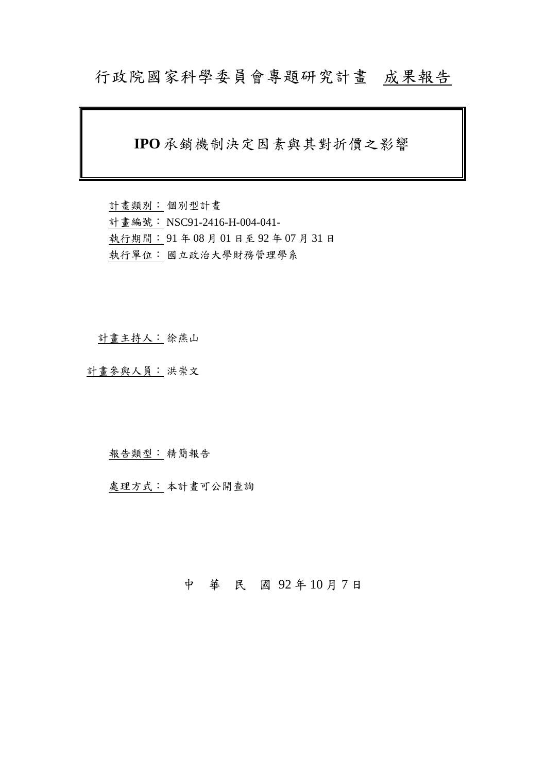## 行政院國家科學委員會專題研究計畫成果報告

### **IPO** 承銷機制決定因素與其對折價之影響

計畫類別: 個別型計畫 計畫編號: NSC91-2416-H-004-041- 執行期間: 91 年 08 月 01 日至 92 年 07 月 31 日 執行單位: 國立政治大學財務管理學系

計畫主持人: 徐燕山

計畫參與人員: 洪崇文

#### 報告類型: 精簡報告

處理方式: 本計畫可公開查詢

### 中 華 民 國 92 年 10 月 7 日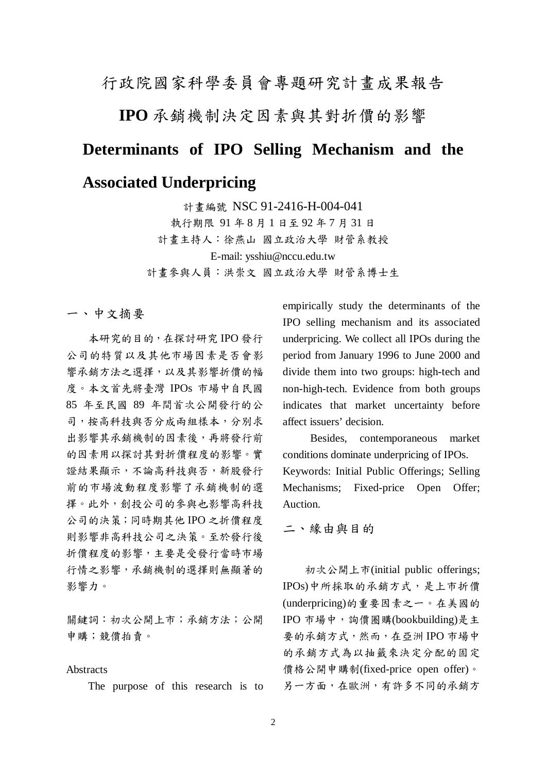### 行政院國家科學委員會專題研究計畫成果報告

**IPO** 承銷機制決定因素與其對折價的影響

# **Determinants of IPO Selling Mechanism and the**

### **Associated Underpricing**

計畫編號 NSC 91-2416-H-004-041 執行期限 91 年 8 月 1 日至 92 年 7 月 31 日 計畫主持人:徐燕山 國立政治大學 財管系教授 E-mail: ysshiu@nccu.edu.tw 計畫參與人員:洪崇文 國立政治大學 財管系博士生

一、中文摘要

本研究的目的,在探討研究 IPO 發行 公司的特質以及其他市場因素是否會影 響承銷方法之選擇,以及其影響折價的幅 度。本文首先將臺灣 IPOs 市場中自民國 85 年至民國 89 年間首次公開發行的公 司,按高科技與否分成兩組樣本,分別求 出影響其承銷機制的因素後,再將發行前 的因素用以探討其對折價程度的影響。實 證結果顯示,不論高科技與否,新股發行 前的市場波動程度影響了承銷機制的選 擇。此外,創投公司的參與也影響高科技 公司的決策;同時期其他 IPO 之折價程度 則影響非高科技公司之決策。至於發行後 折價程度的影響,主要是受發行當時市場 行情之影響,承銷機制的選擇則無顯著的 影響力。

關鍵詞:初次公開上市;承銷方法;公開 申購;競價拍賣。

#### **Abstracts**

The purpose of this research is to

empirically study the determinants of the IPO selling mechanism and its associated underpricing. We collect all IPOs during the period from January 1996 to June 2000 and divide them into two groups: high-tech and non-high-tech. Evidence from both groups indicates that market uncertainty before affect issuers' decision.

 Besides, contemporaneous market conditions dominate underpricing of IPOs. Keywords: Initial Public Offerings; Selling Mechanisms; Fixed-price Open Offer; Auction.

二、緣由與目的

初次公開上市(initial public offerings; IPOs)中所採取的承銷方式,是上市折價 (underpricing)的重要因素之一。在美國的 IPO 市場中,詢價圈購(bookbuilding)是主 要的承銷方式,然而,在亞洲 IPO 市場中 的承銷方式為以抽籤來決定分配的固定 價格公開申購制(fixed-price open offer)。 另一方面,在歐洲,有許多不同的承銷方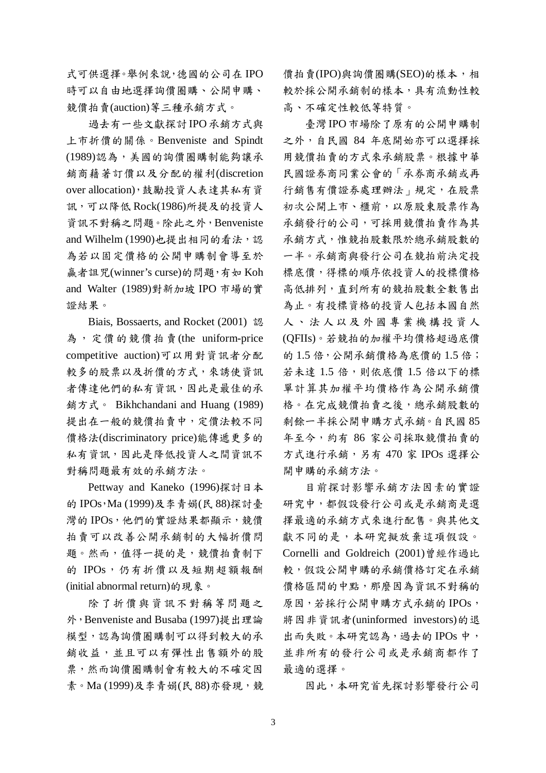式可供選擇。舉例來說,德國的公司在 IPO 時可以自由地選擇詢價圈購、公開申購、 競價拍賣(auction)等三種承銷方式。

過去有一些文獻探討IPO承銷方式與 上市折價的關係。Benveniste and Spindt (1989)認為,美國的詢價圈購制能夠讓承 銷商藉著訂價以及分配的權利(discretion over allocation),鼓勵投資人表達其私有資 訊,可以降低 Rock(1986)所提及的投資人 資訊不對稱之問題。除此之外,Benveniste and Wilhelm (1990)也提出相同的看法,認 為若以固定價格的公開申購制會導至於 贏者詛咒(winner's curse)的問題,有如 Koh and Walter (1989)對新加坡 IPO 市場的實 證結果。

Biais, Bossaerts, and Rocket (2001) 認 為,定價的競價拍賣(the uniform-price competitive auction)可以用對資訊者分配 較多的股票以及折價的方式,來誘使資訊 者傳達他們的私有資訊,因此是最佳的承 銷方式。 Bikhchandani and Huang (1989) 提出在一般的競價拍賣中,定價法較不同 價格法(discriminatory price)能傳遞更多的 私有資訊,因此是降低投資人之間資訊不 對稱問題最有效的承銷方法。

Pettway and Kaneko (1996)探討日本 的 IPOs, Ma (1999)及李青娟(民 88)探討臺 灣的IPOs,他們的實證結果都顯示,競價 拍賣可以改善公開承銷制的大幅折價問 題。然而,值得一提的是,競價拍賣制下 的 IPOs, 仍有折價以及短期超額報酬 (initial abnormal return)的現象。

除了折價與資訊不對稱等問題之 外,Benveniste and Busaba (1997)提出理論 模型,認為詢價圈購制可以得到較大的承 銷收益,並且可以有彈性出售額外的股 票,然而詢價圈購制會有較大的不確定因 素。Ma (1999)及李青娟(民 88)亦發現, 競

價拍賣(IPO)與詢價圈購(SEO)的樣本,相 較於採公開承銷制的樣本,具有流動性較 高、不確定性較低等特質。

臺灣IPO市場除了原有的公開申購制 之外,自民國 84 年底開始亦可以選擇採 用競價拍賣的方式來承銷股票。根據中華 民國證券商同業公會的「承券商承銷或再 行銷售有價證券處理辦法」規定,在股票 初次公開上市、櫃前,以原股東股票作為 承銷發行的公司,可採用競價拍賣作為其 承銷方式,惟競拍股數限於總承銷股數的 一半。承銷商與發行公司在競拍前決定投 標底價,得標的順序依投資人的投標價格 高低排列,直到所有的競拍股數全數售出 為止。有投標資格的投資人包括本國自然 人、法人以及外國專業機構投資人 (QFIIs)。若競拍的加權平均價格超過底價 的1.5 倍,公開承銷價格為底價的1.5 倍; 若未達 1.5 倍,則依底價 1.5 倍以下的標 單計算其加權平均價格作為公開承銷價 格。在完成競價拍賣之後,總承銷股數的 剩餘一半採公開申購方式承銷。自民國 85 年至今,約有 86 家公司採取競價拍賣的 方式進行承銷,另有 470 家 IPOs 選擇公 開申購的承銷方法。

目前探討影響承銷方法因素的實證 研究中,都假設發行公司或是承銷商是選 擇最適的承銷方式來進行配售。與其他文 獻不同的是,本研究擬放棄這項假設。 Cornelli and Goldreich (2001)曾經作過比 較,假設公開申購的承銷價格訂定在承銷 價格區間的中點,那麼因為資訊不對稱的 原因,若採行公開申購方式承銷的 IPOs, 將因非資訊者(uninformed investors)的退 出而失敗。本研究認為, 過去的 IPOs 中, 並非所有的發行公司或是承銷商都作了 最適的選擇。

因此,本研究首先探討影響發行公司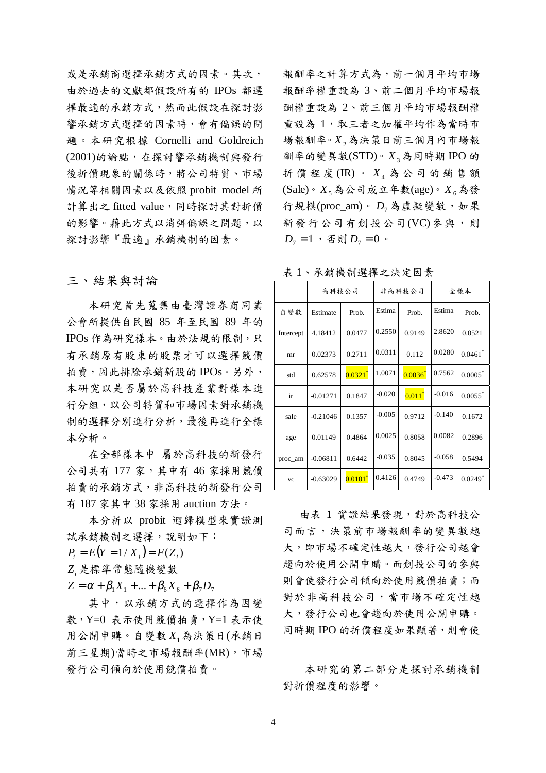或是承銷商選擇承銷方式的因素。其次, 由於過去的文獻都假設所有的 IPOs 都選 擇最適的承銷方式,然而此假設在探討影 響承銷方式選擇的因素時,會有偏誤的問 題。本研究根據 Cornelli and Goldreich (2001)的論點,在探討響承銷機制與發行 後折價現象的關係時,將公司特質、市場 情況等相關因素以及依照 probit model 所 計算出之 fitted value,同時探討其對折價 的影響。藉此方式以消弭偏誤之問題,以 探討影響『最適』承銷機制的因素。

#### 三、結果與討論

本研究首先蒐集由臺灣證券商同業 公會所提供自民國 85 年至民國 89 年的 IPOs 作為研究樣本。由於法規的限制,只 有承銷原有股東的股票才可以選擇競價 拍賣,因此排除承銷新股的IPOs。另外, 本研究以是否屬於高科技產業對樣本進 行分組,以公司特質和市場因素對承銷機 制的選擇分別進行分析,最後再進行全樣 本分析。

在全部樣本中 屬於高科技的新發行 公司共有 177 家,其中有 46 家採用競價 拍賣的承銷方式,非高科技的新發行公司 有 187 家其中 38 家採用 auction 方法。

本分析以 probit 迴歸模型來實證測 試承銷機制之選擇,說明如下:

 $P_i = E(Y = 1/X_i) = F(Z_i)$ *Zi* 是標準常態隨機變數

 $Z = \alpha + \beta_1 X_1 + ... + \beta_6 X_6 + \beta_7 D_7$ 

其中,以承銷方式的選擇作為因變 數, Y=0 表示使用競價拍賣, Y=1 表示使 用公開申購。自變數 *X*1為決策日(承銷日 前三星期)當時之市場報酬率(MR),市場 發行公司傾向於使用競價拍賣。 本研究的第二部分是探討承銷機制

報酬率之計算方式為,前一個月平均市場 報酬率權重設為 3、前二個月平均市場報 酬權重設為 2、前三個月平均市場報酬權 重設為 1,取三者之加權平均作為當時市 場報酬率。*X*2為決策日前三個月內市場報 酬率的變異數(STD)。*X*3為同時期 IPO 的 折價程度 (IR)。 $X_4$  為公司的銷售額  $(Sale) \circ X_5$ 為公司成立年數(age)。 $X_6$ 為發 行規模(proc\_am)。 $D_7$ 為虛擬變數,如果 新發行公司有創投公司(VC)參與,則  $D_7 = 1$ , 否則  $D_7 = 0$ 。

|           | 高科技公司      |                       | 非高科技公司   |              | 全樣本      |                       |
|-----------|------------|-----------------------|----------|--------------|----------|-----------------------|
| 自變數       | Estimate   | Prob.                 | Estima   | Prob.        | Estima   | Prob.                 |
| Intercept | 4.18412    | 0.0477                | 0.2550   | 0.9149       | 2.8620   | 0.0521                |
| mr        | 0.02373    | 0.2711                | 0.0311   | 0.112        | 0.0280   | $0.0461$ <sup>*</sup> |
| std       | 0.62578    | $0.0321$ <sup>*</sup> | 1.0071   | $0.0036^{*}$ | 0.7562   | $0.0005^*$            |
| ir        | $-0.01271$ | 0.1847                | $-0.020$ | $0.011^{*}$  | $-0.016$ | $0.0055$ <sup>*</sup> |
| sale      | $-0.21046$ | 0.1357                | $-0.005$ | 0.9712       | $-0.140$ | 0.1672                |
| age       | 0.01149    | 0.4864                | 0.0025   | 0.8058       | 0.0082   | 0.2896                |
| proc_am   | $-0.06811$ | 0.6442                | $-0.035$ | 0.8045       | $-0.058$ | 0.5494                |
| <b>VC</b> | $-0.63029$ | $0.0101^*$            | 0.4126   | 0.4749       | $-0.473$ | $0.0249*$             |

表 1、承銷機制選擇之決定因素

由表 1 實證結果發現,對於高科技公 司而言,決策前市場報酬率的變異數越 大,即市場不確定性越大,發行公司越會 趨向於使用公開申購。而創投公司的參與 則會使發行公司傾向於使用競價拍賣;而 對於非高科技公司,當市場不確定性越 大,發行公司也會趨向於使用公開申購。 同時期 IPO 的折價程度如果顯著,則會使

對折價程度的影響。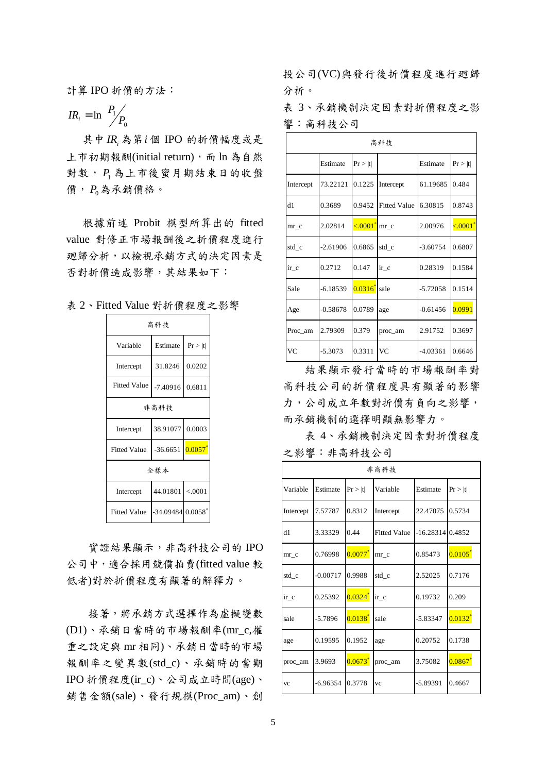計算 IPO 折價的方法:

$$
IR_i = \ln\left(\frac{P_1}{P_0}\right)
$$

其中 *<sup>i</sup> IR* 為第*i* 個 IPO 的折價幅度或是 上市初期報酬(initial return), 而 ln 為自然 對數, *P*<sup>1</sup> 為上市後蜜月期結束日的收盤 價, *P*0為承銷價格。

根據前述 Probit 模型所算出的 fitted value 對修正市場報酬後之折價程度進行 廻歸分析,以檢視承銷方式的決定因素是 否對折價造成影響,其結果如下:

| 表 2、Fitted Value 對折價程度之影響 |  |
|---------------------------|--|
|---------------------------|--|

| 高科技                 |                   |            |  |  |  |
|---------------------|-------------------|------------|--|--|--|
| Variable            | Estimate          | Pr >  t    |  |  |  |
| Intercept           | 31.8246           | 0.0202     |  |  |  |
| <b>Fitted Value</b> | $-7.40916$        | 0.6811     |  |  |  |
| 非高科技                |                   |            |  |  |  |
| Intercept           | 38.91077          | 0.0003     |  |  |  |
| <b>Fitted Value</b> | $-36.6651$        | $0.0057^*$ |  |  |  |
| 全樣本                 |                   |            |  |  |  |
| Intercept           | 44.01801          | < .0001    |  |  |  |
| <b>Fitted Value</b> | -34.09484 0.0058* |            |  |  |  |

實證結果顯示,非高科技公司的 IPO 公司中,適合採用競價拍賣(fitted value 較 低者)對於折價程度有顯著的解釋力。

接著,將承銷方式選擇作為虛擬變數 (D1)、承銷日當時的市場報酬率(mr\_c,權 重之設定與 mr 相同)、承銷日當時的市場 報酬率之變異數(std\_c)、承銷時的當期 IPO 折價程度(ir\_c)、公司成立時間(age)、 銷售金額(sale)、發行規模(Proc\_am)、創 投公司(VC)與發行後折價程度進行廻歸 分析。

表 3、承銷機制決定因素對折價程度之影 響:高科技公司

| 高科技                   |            |              |                       |            |         |  |
|-----------------------|------------|--------------|-----------------------|------------|---------|--|
|                       | Estimate   | Pr >  t      |                       | Estimate   | Pr >  t |  |
| Intercept             | 73.22121   | 0.1225       | Intercept             | 61.19685   | 0.484   |  |
| d1                    | 0.3689     | 0.9452       | <b>Fitted Value</b>   | 6.30815    | 0.8743  |  |
| mr c                  | 2.02814    | < 0.001      | mr c                  | 2.00976    | < 0001  |  |
| std_c                 | $-2.61906$ | 0.6865       | std_c                 | $-3.60754$ | 0.6807  |  |
| $\operatorname{ir}$ c | 0.2712     | 0.147        | $\operatorname{ir}$ c | 0.28319    | 0.1584  |  |
| Sale                  | $-6.18539$ | $0.0316^{*}$ | sale                  | $-5.72058$ | 0.1514  |  |
| Age                   | $-0.58678$ | 0.0789       | age                   | $-0.61456$ | 0.0991  |  |
| Proc_am               | 2.79309    | 0.379        | proc_am               | 2.91752    | 0.3697  |  |
| VC                    | $-5.3073$  | 0.3311       | VC                    | $-4.03361$ | 0.6646  |  |

結果顯示發行當時的市場報酬率對 高科技公司的折價程度具有顯著的影響 力,公司成立年數對折價有負向之影響, 而承銷機制的選擇明顯無影響力。

表 4、承銷機制決定因素對折價程度 之影響:非高科技公司

| 非高科技      |            |              |                     |                    |              |  |
|-----------|------------|--------------|---------------------|--------------------|--------------|--|
| Variable  | Estimate   | Pr >  t      | Variable            | Estimate           | Pr >  t      |  |
| Intercept | 7.57787    | 0.8312       | Intercept           | 22.47075           | 0.5734       |  |
| d1        | 3.33329    | 0.44         | <b>Fitted Value</b> | $-16.28314$ 0.4852 |              |  |
| mr c      | 0.76998    | $0.0077^{*}$ | mr c                | 0.85473            | $0.0105^{*}$ |  |
| std_c     | $-0.00717$ | 0.9988       | std_c               | 2.52025            | 0.7176       |  |
| $ir_c$    | 0.25392    | $0.0324^{*}$ | $ir_c$              | 0.19732            | 0.209        |  |
| sale      | $-5.7896$  | $0.0138^{*}$ | sale                | $-5.83347$         | $0.0132^{*}$ |  |
| age       | 0.19595    | 0.1952       | age                 | 0.20752            | 0.1738       |  |
| proc_am   | 3.9693     | $0.0673^{*}$ | proc_am             | 3.75082            | $0.0867^{*}$ |  |
| <b>VC</b> | $-6.96354$ | 0.3778       | <b>VC</b>           | -5.89391           | 0.4667       |  |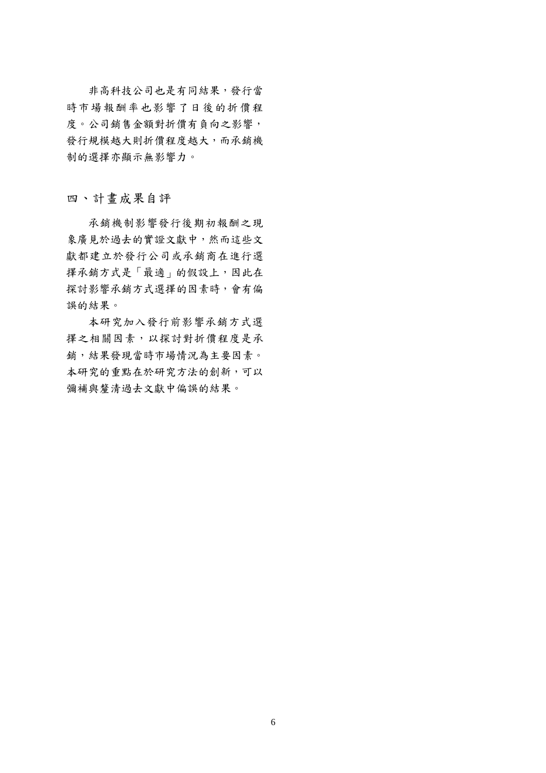非高科技公司也是有同結果,發行當 時市場報酬率也影響了日後的折價程 度。公司銷售金額對折價有負向之影響, 發行規模越大則折價程度越大,而承銷機 制的選擇亦顯示無影響力。

四、計畫成果自評

 承銷機制影響發行後期初報酬之現 象廣見於過去的實證文獻中,然而這些文 獻都建立於發行公司或承銷商在進行選 擇承銷方式是「最適」的假設上,因此在 探討影響承銷方式選擇的因素時,會有偏 誤的結果。

 本研究加入發行前影響承銷方式選 擇之相關因素,以探討對折價程度是承 銷,結果發現當時市場情況為主要因素。 本研究的重點在於研究方法的創新,可以 彌補與釐清過去文獻中偏誤的結果。